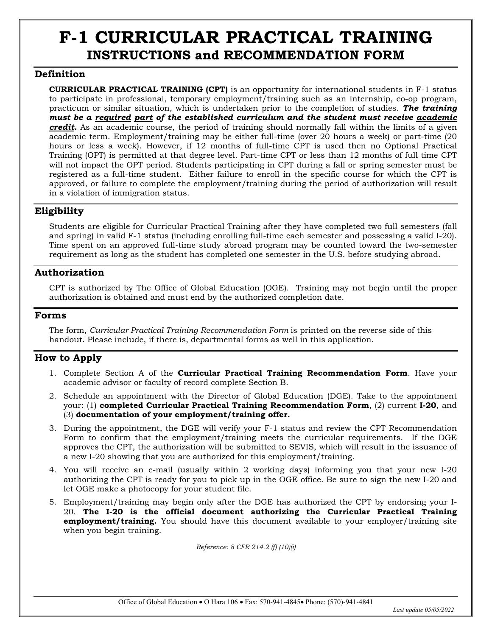# **F-1 CURRICULAR PRACTICAL TRAINING INSTRUCTIONS and RECOMMENDATION FORM**

### **Definition**

**CURRICULAR PRACTICAL TRAINING (CPT)** is an opportunity for international students in F-1 status to participate in professional, temporary employment/training such as an internship, co-op program, practicum or similar situation, which is undertaken prior to the completion of studies. *The training must be a required part of the established curriculum and the student must receive academic credit.* As an academic course, the period of training should normally fall within the limits of a given academic term. Employment/training may be either full-time (over 20 hours a week) or part-time (20 hours or less a week). However, if 12 months of full-time CPT is used then no Optional Practical Training (OPT) is permitted at that degree level. Part-time CPT or less than 12 months of full time CPT will not impact the OPT period. Students participating in CPT during a fall or spring semester must be registered as a full-time student. Either failure to enroll in the specific course for which the CPT is approved, or failure to complete the employment/training during the period of authorization will result in a violation of immigration status.

## **Eligibility**

Students are eligible for Curricular Practical Training after they have completed two full semesters (fall and spring) in valid F-1 status (including enrolling full-time each semester and possessing a valid I-20). Time spent on an approved full-time study abroad program may be counted toward the two-semester requirement as long as the student has completed one semester in the U.S. before studying abroad.

### **Authorization**

CPT is authorized by The Office of Global Education (OGE). Training may not begin until the proper authorization is obtained and must end by the authorized completion date.

#### **Forms**

The form, *Curricular Practical Training Recommendation Form* is printed on the reverse side of this handout. Please include, if there is, departmental forms as well in this application.

## **How to Apply**

- 1. Complete Section A of the **Curricular Practical Training Recommendation Form**. Have your academic advisor or faculty of record complete Section B.
- 2. Schedule an appointment with the Director of Global Education (DGE). Take to the appointment your: (1) **completed Curricular Practical Training Recommendation Form**, (2) current **I-20**, and (3) **documentation of your employment/training offer.**
- 3. During the appointment, the DGE will verify your F-1 status and review the CPT Recommendation Form to confirm that the employment/training meets the curricular requirements. If the DGE approves the CPT, the authorization will be submitted to SEVIS, which will result in the issuance of a new I-20 showing that you are authorized for this employment/training.
- 4. You will receive an e-mail (usually within 2 working days) informing you that your new I-20 authorizing the CPT is ready for you to pick up in the OGE office. Be sure to sign the new I-20 and let OGE make a photocopy for your student file.
- 5. Employment/training may begin only after the DGE has authorized the CPT by endorsing your I-20. **The I-20 is the official document authorizing the Curricular Practical Training employment/training.** You should have this document available to your employer/training site when you begin training.

*Reference: 8 CFR 214.2 (f) (10)(i)*